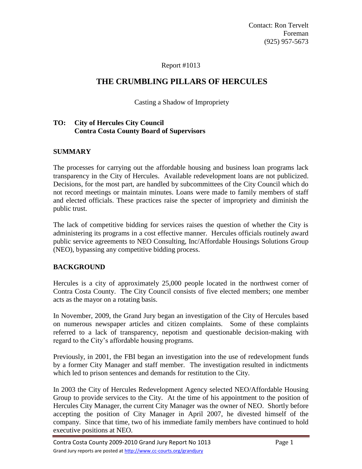Contact: Ron Tervelt Foreman (925) 957-5673

# Report #1013

# **THE CRUMBLING PILLARS OF HERCULES**

## Casting a Shadow of Impropriety

### **TO: City of Hercules City Council Contra Costa County Board of Supervisors**

# **SUMMARY**

The processes for carrying out the affordable housing and business loan programs lack transparency in the City of Hercules. Available redevelopment loans are not publicized. Decisions, for the most part, are handled by subcommittees of the City Council which do not record meetings or maintain minutes. Loans were made to family members of staff and elected officials. These practices raise the specter of impropriety and diminish the public trust.

The lack of competitive bidding for services raises the question of whether the City is administering its programs in a cost effective manner. Hercules officials routinely award public service agreements to NEO Consulting, Inc/Affordable Housings Solutions Group (NEO), bypassing any competitive bidding process.

### **BACKGROUND**

Hercules is a city of approximately 25,000 people located in the northwest corner of Contra Costa County. The City Council consists of five elected members; one member acts as the mayor on a rotating basis.

In November, 2009, the Grand Jury began an investigation of the City of Hercules based on numerous newspaper articles and citizen complaints. Some of these complaints referred to a lack of transparency, nepotism and questionable decision-making with regard to the City's affordable housing programs.

Previously, in 2001, the FBI began an investigation into the use of redevelopment funds by a former City Manager and staff member. The investigation resulted in indictments which led to prison sentences and demands for restitution to the City.

In 2003 the City of Hercules Redevelopment Agency selected NEO/Affordable Housing Group to provide services to the City. At the time of his appointment to the position of Hercules City Manager, the current City Manager was the owner of NEO. Shortly before accepting the position of City Manager in April 2007, he divested himself of the company. Since that time, two of his immediate family members have continued to hold executive positions at NEO.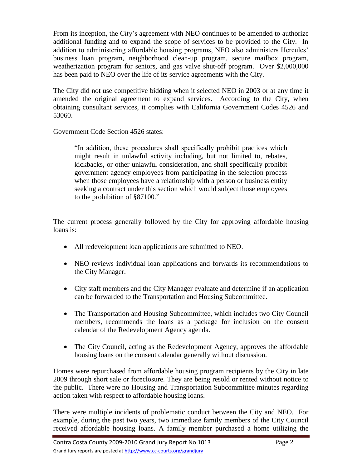From its inception, the City's agreement with NEO continues to be amended to authorize additional funding and to expand the scope of services to be provided to the City. In addition to administering affordable housing programs, NEO also administers Hercules' business loan program, neighborhood clean-up program, secure mailbox program, weatherization program for seniors, and gas valve shut-off program. Over \$2,000,000 has been paid to NEO over the life of its service agreements with the City.

The City did not use competitive bidding when it selected NEO in 2003 or at any time it amended the original agreement to expand services. According to the City, when obtaining consultant services, it complies with California Government Codes 4526 and 53060.

Government Code Section 4526 states:

"In addition, these procedures shall specifically prohibit practices which might result in unlawful activity including, but not limited to, rebates, kickbacks, or other unlawful consideration, and shall specifically prohibit government agency employees from participating in the selection process when those employees have a relationship with a person or business entity seeking a contract under this section which would subject those employees to the prohibition of §87100."

The current process generally followed by the City for approving affordable housing loans is:

- All redevelopment loan applications are submitted to NEO.
- NEO reviews individual loan applications and forwards its recommendations to the City Manager.
- City staff members and the City Manager evaluate and determine if an application can be forwarded to the Transportation and Housing Subcommittee.
- The Transportation and Housing Subcommittee, which includes two City Council members, recommends the loans as a package for inclusion on the consent calendar of the Redevelopment Agency agenda.
- The City Council, acting as the Redevelopment Agency, approves the affordable housing loans on the consent calendar generally without discussion.

Homes were repurchased from affordable housing program recipients by the City in late 2009 through short sale or foreclosure. They are being resold or rented without notice to the public. There were no Housing and Transportation Subcommittee minutes regarding action taken with respect to affordable housing loans.

There were multiple incidents of problematic conduct between the City and NEO. For example, during the past two years, two immediate family members of the City Council received affordable housing loans. A family member purchased a home utilizing the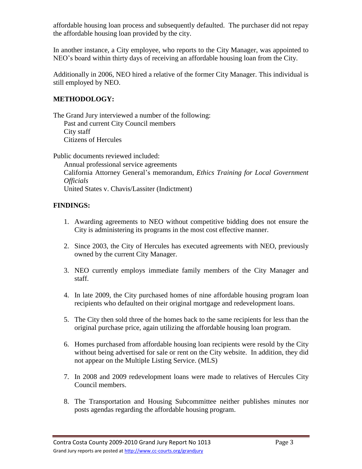affordable housing loan process and subsequently defaulted. The purchaser did not repay the affordable housing loan provided by the city.

In another instance, a City employee, who reports to the City Manager, was appointed to NEO's board within thirty days of receiving an affordable housing loan from the City.

Additionally in 2006, NEO hired a relative of the former City Manager. This individual is still employed by NEO.

# **METHODOLOGY:**

The Grand Jury interviewed a number of the following: Past and current City Council members City staff Citizens of Hercules

Public documents reviewed included:

Annual professional service agreements California Attorney General's memorandum, *Ethics Training for Local Government Officials* United States v. Chavis/Lassiter (Indictment)

# **FINDINGS:**

- 1. Awarding agreements to NEO without competitive bidding does not ensure the City is administering its programs in the most cost effective manner.
- 2. Since 2003, the City of Hercules has executed agreements with NEO, previously owned by the current City Manager.
- 3. NEO currently employs immediate family members of the City Manager and staff.
- 4. In late 2009, the City purchased homes of nine affordable housing program loan recipients who defaulted on their original mortgage and redevelopment loans.
- 5. The City then sold three of the homes back to the same recipients for less than the original purchase price, again utilizing the affordable housing loan program.
- 6. Homes purchased from affordable housing loan recipients were resold by the City without being advertised for sale or rent on the City website. In addition, they did not appear on the Multiple Listing Service. (MLS)
- 7. In 2008 and 2009 redevelopment loans were made to relatives of Hercules City Council members.
- 8. The Transportation and Housing Subcommittee neither publishes minutes nor posts agendas regarding the affordable housing program.